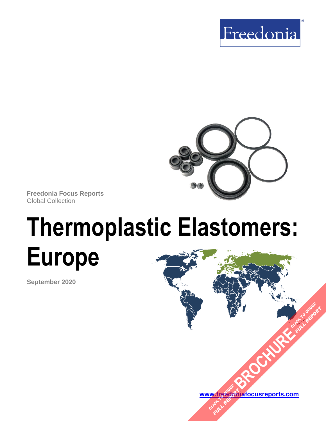



**Freedonia Focus Reports** Global Collection

# **Thermoplastic Elastomers: Europe**

**September 2020**

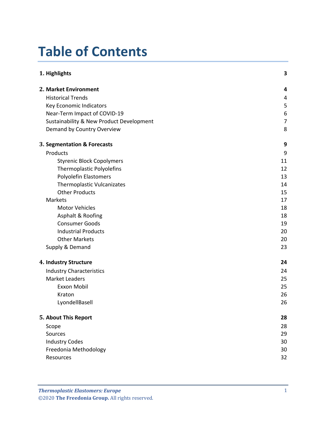# **Table of Contents**

| 1. Highlights                            | 3              |
|------------------------------------------|----------------|
| 2. Market Environment                    | 4              |
| <b>Historical Trends</b>                 | 4              |
| Key Economic Indicators                  | 5              |
| Near-Term Impact of COVID-19             | 6              |
| Sustainability & New Product Development | $\overline{7}$ |
| Demand by Country Overview               | 8              |
| 3. Segmentation & Forecasts              | 9              |
| Products                                 | 9              |
| <b>Styrenic Block Copolymers</b>         | 11             |
| <b>Thermoplastic Polyolefins</b>         | 12             |
| <b>Polyolefin Elastomers</b>             | 13             |
| Thermoplastic Vulcanizates               | 14             |
| <b>Other Products</b>                    | 15             |
| Markets                                  | 17             |
| <b>Motor Vehicles</b>                    | 18             |
| Asphalt & Roofing                        | 18             |
| <b>Consumer Goods</b>                    | 19             |
| <b>Industrial Products</b>               | 20             |
| <b>Other Markets</b>                     | 20             |
| Supply & Demand                          | 23             |
| 4. Industry Structure                    | 24             |
| <b>Industry Characteristics</b>          | 24             |
| <b>Market Leaders</b>                    | 25             |
| Exxon Mobil                              | 25             |
| Kraton                                   | 26             |
| LyondellBasell                           | 26             |
| 5. About This Report                     | 28             |
| Scope                                    | 28             |
| Sources                                  | 29             |
| <b>Industry Codes</b>                    | 30             |
| Freedonia Methodology                    | 30             |
| Resources                                | 32             |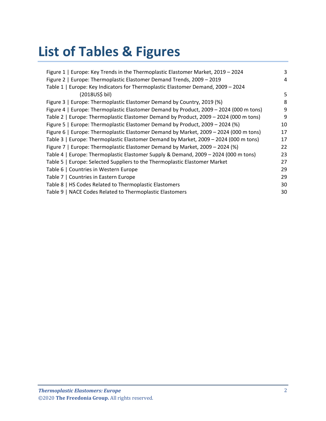## **List of Tables & Figures**

| Figure 1   Europe: Key Trends in the Thermoplastic Elastomer Market, 2019 - 2024       | 3  |
|----------------------------------------------------------------------------------------|----|
| Figure 2   Europe: Thermoplastic Elastomer Demand Trends, 2009 - 2019                  | 4  |
| Table 1   Europe: Key Indicators for Thermoplastic Elastomer Demand, 2009 - 2024       |    |
| (2018US\$ bil)                                                                         | 5  |
| Figure 3   Europe: Thermoplastic Elastomer Demand by Country, 2019 (%)                 | 8  |
| Figure 4   Europe: Thermoplastic Elastomer Demand by Product, 2009 - 2024 (000 m tons) | 9  |
| Table 2   Europe: Thermoplastic Elastomer Demand by Product, 2009 - 2024 (000 m tons)  | 9  |
| Figure 5   Europe: Thermoplastic Elastomer Demand by Product, 2009 – 2024 (%)          | 10 |
| Figure 6   Europe: Thermoplastic Elastomer Demand by Market, 2009 - 2024 (000 m tons)  | 17 |
| Table 3   Europe: Thermoplastic Elastomer Demand by Market, 2009 - 2024 (000 m tons)   | 17 |
| Figure 7   Europe: Thermoplastic Elastomer Demand by Market, 2009 - 2024 (%)           | 22 |
| Table 4   Europe: Thermoplastic Elastomer Supply & Demand, 2009 - 2024 (000 m tons)    | 23 |
| Table 5   Europe: Selected Suppliers to the Thermoplastic Elastomer Market             | 27 |
| Table 6   Countries in Western Europe                                                  | 29 |
| Table 7   Countries in Eastern Europe                                                  | 29 |
| Table 8   HS Codes Related to Thermoplastic Elastomers                                 | 30 |
| Table 9   NACE Codes Related to Thermoplastic Elastomers                               | 30 |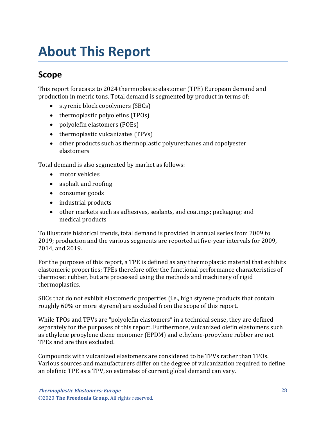## <span id="page-3-1"></span><span id="page-3-0"></span>**Scope**

This report forecasts to 2024 thermoplastic elastomer (TPE) European demand and production in metric tons. Total demand is segmented by product in terms of:

- styrenic block copolymers (SBCs)
- thermoplastic polyolefins (TPOs)
- polyolefin elastomers (POEs)
- thermoplastic vulcanizates (TPVs)
- other products such as thermoplastic polyurethanes and copolyester elastomers

Total demand is also segmented by market as follows:

- motor vehicles
- asphalt and roofing
- consumer goods
- industrial products
- other markets such as adhesives, sealants, and coatings; packaging; and medical products

To illustrate historical trends, total demand is provided in annual series from 2009 to 2019; production and the various segments are reported at five-year intervals for 2009, 2014, and 2019.

For the purposes of this report, a TPE is defined as any thermoplastic material that exhibits elastomeric properties; TPEs therefore offer the functional performance characteristics of thermoset rubber, but are processed using the methods and machinery of rigid thermoplastics.

SBCs that do not exhibit elastomeric properties (i.e., high styrene products that contain roughly 60% or more styrene) are excluded from the scope of this report.

While TPOs and TPVs are "polyolefin elastomers" in a technical sense, they are defined separately for the purposes of this report. Furthermore, vulcanized olefin elastomers such as ethylene propylene diene monomer (EPDM) and ethylene-propylene rubber are not TPEs and are thus excluded.

Compounds with vulcanized elastomers are considered to be TPVs rather than TPOs. Various sources and manufacturers differ on the degree of vulcanization required to define an olefinic TPE as a TPV, so estimates of current global demand can vary.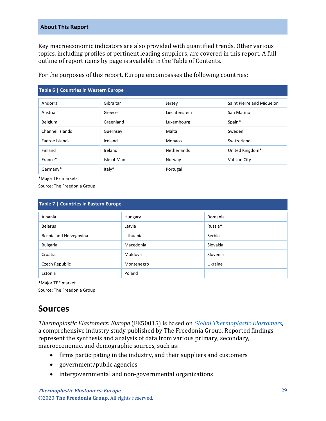Key macroeconomic indicators are also provided with quantified trends. Other various topics, including profiles of pertinent leading suppliers, are covered in this report. A full outline of report items by page is available in the Table of Contents.

<span id="page-4-1"></span>

| Table 6   Countries in Western Europe |             |               |                           |
|---------------------------------------|-------------|---------------|---------------------------|
| Andorra                               | Gibraltar   | Jersey        | Saint Pierre and Miquelon |
| Austria                               | Greece      | Liechtenstein | San Marino                |
| Belgium                               | Greenland   | Luxembourg    | Spain*                    |
| Channel Islands                       | Guernsey    | Malta         | Sweden                    |
| Faeroe Islands                        | Iceland     | Monaco        | Switzerland               |
| Finland                               | Ireland     | Netherlands   | United Kingdom*           |
| France*                               | Isle of Man | Norway        | Vatican City              |
| Germany*                              | Italy*      | Portugal      |                           |

For the purposes of this report, Europe encompasses the following countries:

\*Major TPE markets

Source: The Freedonia Group

<span id="page-4-2"></span>

| Table 7   Countries in Eastern Europe |            |          |
|---------------------------------------|------------|----------|
| Albania                               | Hungary    | Romania  |
| <b>Belarus</b>                        | Latvia     | Russia*  |
| Bosnia and Herzegovina                | Lithuania  | Serbia   |
| <b>Bulgaria</b>                       | Macedonia  | Slovakia |
| Croatia                               | Moldova    | Slovenia |
| Czech Republic                        | Montenegro | Ukraine  |
| Estonia                               | Poland     |          |

\*Major TPE market

Source: The Freedonia Group

## <span id="page-4-0"></span>**Sources**

*Thermoplastic Elastomers: Europe* (FE50015) is based on *[Global Thermoplastic Elastomers,](http://www.freedoniagroup.com/DocumentDetails.aspx?ReferrerId=FL-FOCUS&studyid=3825)*  a comprehensive industry study published by The Freedonia Group. Reported findings represent the synthesis and analysis of data from various primary, secondary, macroeconomic, and demographic sources, such as:

- firms participating in the industry, and their suppliers and customers
- government/public agencies
- intergovernmental and non-governmental organizations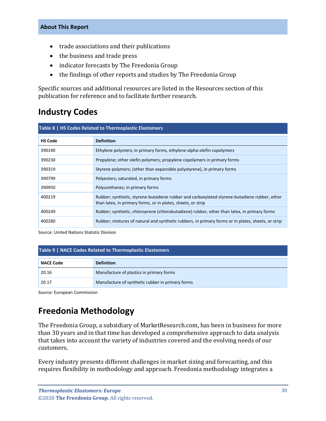- trade associations and their publications
- the business and trade press
- indicator forecasts by The Freedonia Group
- the findings of other reports and studies by The Freedonia Group

Specific sources and additional resources are listed in the Resources section of this publication for reference and to facilitate further research.

## <span id="page-5-0"></span>**Industry Codes**

<span id="page-5-2"></span>

| Table 8   HS Codes Related to Thermoplastic Elastomers |                                                                                                                                                              |  |
|--------------------------------------------------------|--------------------------------------------------------------------------------------------------------------------------------------------------------------|--|
| <b>HS Code</b>                                         | <b>Definition</b>                                                                                                                                            |  |
| 390140                                                 | Ethylene polymers; in primary forms, ethylene-alpha-olefin copolymers                                                                                        |  |
| 390230                                                 | Propylene; other olefin polymers; propylene copolymers in primary forms                                                                                      |  |
| 390319                                                 | Styrene polymers; (other than expansible polystyrene), in primary forms                                                                                      |  |
| 390799                                                 | Polyesters; saturated, in primary forms                                                                                                                      |  |
| 390950                                                 | Polyurethanes; in primary forms                                                                                                                              |  |
| 400219                                                 | Rubber; synthetic, styrene-butadiene rubber and carboxylated styrene-butadiene rubber, other<br>than latex, in primary forms, or in plates, sheets, or strip |  |
| 400249                                                 | Rubber; synthetic, chloroprene (chlorobutadiene) rubber, other than latex, in primary forms                                                                  |  |
| 400280                                                 | Rubber; mixtures of natural and synthetic rubbers, in primary forms or in plates, sheets, or strip                                                           |  |

Source: United Nations Statistic Division

#### <span id="page-5-3"></span>**Table 9 | NACE Codes Related to Thermoplastic Elastomers**

| <b>NACE Code</b> | <b>Definition</b>                                |
|------------------|--------------------------------------------------|
| 20.16            | Manufacture of plastics in primary forms         |
| 20.17            | Manufacture of synthetic rubber in primary forms |

Source: European Commission

## <span id="page-5-1"></span>**Freedonia Methodology**

The Freedonia Group, a subsidiary of MarketResearch.com, has been in business for more than 30 years and in that time has developed a comprehensive approach to data analysis that takes into account the variety of industries covered and the evolving needs of our customers.

Every industry presents different challenges in market sizing and forecasting, and this requires flexibility in methodology and approach. Freedonia methodology integrates a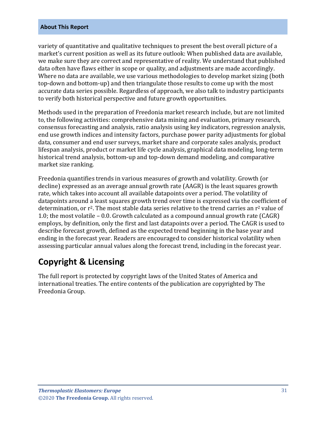variety of quantitative and qualitative techniques to present the best overall picture of a market's current position as well as its future outlook: When published data are available, we make sure they are correct and representative of reality. We understand that published data often have flaws either in scope or quality, and adjustments are made accordingly. Where no data are available, we use various methodologies to develop market sizing (both top-down and bottom-up) and then triangulate those results to come up with the most accurate data series possible. Regardless of approach, we also talk to industry participants to verify both historical perspective and future growth opportunities.

Methods used in the preparation of Freedonia market research include, but are not limited to, the following activities: comprehensive data mining and evaluation, primary research, consensus forecasting and analysis, ratio analysis using key indicators, regression analysis, end use growth indices and intensity factors, purchase power parity adjustments for global data, consumer and end user surveys, market share and corporate sales analysis, product lifespan analysis, product or market life cycle analysis, graphical data modeling, long-term historical trend analysis, bottom-up and top-down demand modeling, and comparative market size ranking.

Freedonia quantifies trends in various measures of growth and volatility. Growth (or decline) expressed as an average annual growth rate (AAGR) is the least squares growth rate, which takes into account all available datapoints over a period. The volatility of datapoints around a least squares growth trend over time is expressed via the coefficient of determination, or  $r^2$ . The most stable data series relative to the trend carries an  $r^2$  value of 1.0; the most volatile – 0.0. Growth calculated as a compound annual growth rate (CAGR) employs, by definition, only the first and last datapoints over a period. The CAGR is used to describe forecast growth, defined as the expected trend beginning in the base year and ending in the forecast year. Readers are encouraged to consider historical volatility when assessing particular annual values along the forecast trend, including in the forecast year.

## **Copyright & Licensing**

The full report is protected by copyright laws of the United States of America and international treaties. The entire contents of the publication are copyrighted by The Freedonia Group.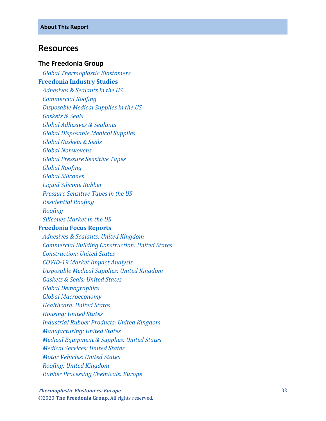## <span id="page-7-0"></span>**Resources**

### **The Freedonia Group**

 *[Global Thermoplastic Elastomers](http://www.freedoniagroup.com/DocumentDetails.aspx?ReferrerId=FL-FOCUS&studyid=3825)* **[Freedonia Industry Studies](http://www.freedoniagroup.com/Home.aspx?ReferrerId=FL-Focus)**  *[Adhesives & Sealants in the US](http://www.freedoniagroup.com/DocumentDetails.aspx?ReferrerId=FL-FOCUS&studyid=3623) [Commercial Roofing](http://www.freedoniagroup.com/DocumentDetails.aspx?ReferrerId=FL-FOCUS&studyid=3876) [Disposable Medical Supplies in the US](http://www.freedoniagroup.com/DocumentDetails.aspx?ReferrerId=FL-FOCUS&studyid=3631) [Gaskets & Seals](http://www.freedoniagroup.com/DocumentDetails.aspx?ReferrerId=FL-FOCUS&studyid=3767) [Global Adhesives & Sealants](http://www.freedoniagroup.com/DocumentDetails.aspx?ReferrerId=FL-FOCUS&studyid=3715)*

 *[Global Disposable Medical Supplies](http://www.freedoniagroup.com/DocumentDetails.aspx?ReferrerId=FL-FOCUS&studyid=3694)*

 *[Global Gaskets & Seals](http://www.freedoniagroup.com/DocumentDetails.aspx?ReferrerId=FL-FOCUS&studyid=3807)*

 *[Global Nonwoven](http://www.freedoniagroup.com/DocumentDetails.aspx?ReferrerId=FL-FOCUS&studyid=3693) s*

 *[Global Pressure Sensitive Tapes](http://www.freedoniagroup.com/DocumentDetails.aspx?ReferrerId=FL-FOCUS&studyid=3685)*

 *[Global Roofing](http://www.freedoniagroup.com/DocumentDetails.aspx?ReferrerId=FL-FOCUS&studyid=3698)*

 *[Global Silicones](http://www.freedoniagroup.com/DocumentDetails.aspx?ReferrerId=FL-FOCUS&studyid=3763)*

 *[Liquid Silicone Rubber](http://www.freedoniagroup.com/DocumentDetails.aspx?ReferrerId=FL-FOCUS&studyid=3751)*

 *[Pressure Sensitive Tapes in the US](http://www.freedoniagroup.com/DocumentDetails.aspx?ReferrerId=FL-FOCUS&studyid=3645)*

 *[Residential Roofing](http://www.freedoniagroup.com/DocumentDetails.aspx?ReferrerId=FL-FOCUS&studyid=3881)*

 *[Roofing](http://www.freedoniagroup.com/DocumentDetails.aspx?ReferrerId=FL-FOCUS&studyid=3835)*

 *[Silicones Market in the US](http://www.freedoniagroup.com/DocumentDetails.aspx?ReferrerId=FL-FOCUS&studyid=3608)*

## **[Freedonia Focus Reports](https://www.freedoniafocusreports.com/redirect.asp?progid=89534&url=/)**

 *[Adhesives & Sealants: United Kingdo](https://www.freedoniafocusreports.com/Adhesives-Sealants-United-Kingdom-FB35088/?progid=89534) m [Commercial Building Construction: United States](https://www.freedoniafocusreports.com/Commercial-Building-Construction-United-States-FF60032/?progid=89534) [Construction: United States](https://www.freedoniafocusreports.com/Construction-United-States-FF60054/?progid=89534) COVID [-19 Market Impact Analysis](https://www.freedoniafocusreports.com/COVID-19-Market-Impact-Analysis-FW95079/?progid=89534) [Disposable Medical Supplies: United Kingdom](https://www.freedoniafocusreports.com/Disposable-Medical-Supplies-United-Kingdom-FB40019/?progid=89534) [Gaskets & Seals: United States](https://www.freedoniafocusreports.com/Gaskets-Seals-United-States-FF50012/?progid=89534) [Global Demographics](https://www.freedoniafocusreports.com/Global-Demographics-FW95050/?progid=89534) [Global Macroeconomy](https://www.freedoniafocusreports.com/Global-Macroeconomy-FW95051/?progid=89534) [Healthcare: United States](https://www.freedoniafocusreports.com/Healthcare-United-States-FF40017/?progid=89534) [Housing: United States](https://www.freedoniafocusreports.com/Housing-United-States-FF60024/?progid=89534) [Industrial Rubber Products: United Kingdom](https://www.freedoniafocusreports.com/Industrial-Rubber-Products-United-Kingdom-FB50016/?progid=89534) [Manufacturing: United States](https://www.freedoniafocusreports.com/Manufacturing-United-States-FF70032/?progid=89534) [Medical Equipment & Supplies: United States](https://www.freedoniafocusreports.com/Medical-Equipment-Supplies-United-States-FF40018/?progid=89534) [Medical Services: United States](https://www.freedoniafocusreports.com/Medical-Services-United-States-FF95014/?progid=89534) [Motor Vehicles: United States](https://www.freedoniafocusreports.com/Motor-Vehicles-United-States-FF85029/?progid=89534) [Roofing: United Kingdom](https://www.freedoniafocusreports.com/Roofing-United-Kingdom-FB60038/?progid=89534) [Rubber Processing Chemicals: Europe](https://www.freedoniafocusreports.com/Rubber-Processing-Chemicals-Europe-FE35079/?progid=89534)*